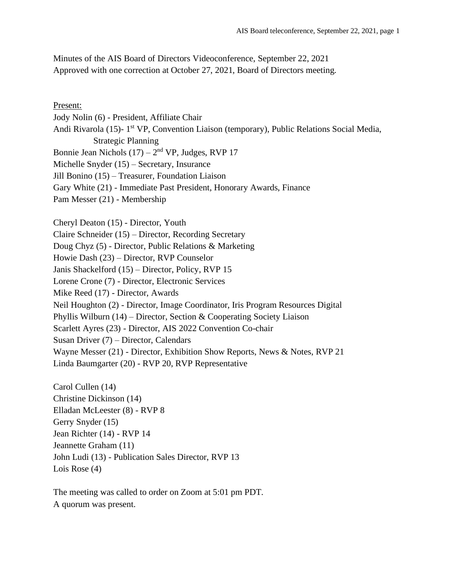Minutes of the AIS Board of Directors Videoconference, September 22, 2021 Approved with one correction at October 27, 2021, Board of Directors meeting.

Present: Jody Nolin (6) - President, Affiliate Chair Andi Rivarola (15)- 1<sup>st</sup> VP, Convention Liaison (temporary), Public Relations Social Media, Strategic Planning Bonnie Jean Nichols  $(17) - 2<sup>nd</sup> VP$ , Judges, RVP 17 Michelle Snyder (15) – Secretary, Insurance Jill Bonino (15) – Treasurer, Foundation Liaison Gary White (21) - Immediate Past President, Honorary Awards, Finance Pam Messer (21) - Membership Cheryl Deaton (15) - Director, Youth Claire Schneider (15) – Director, Recording Secretary Doug Chyz (5) - Director, Public Relations & Marketing Howie Dash (23) – Director, RVP Counselor Janis Shackelford (15) – Director, Policy, RVP 15 Lorene Crone (7) - Director, Electronic Services Mike Reed (17) - Director, Awards Neil Houghton (2) - Director, Image Coordinator, Iris Program Resources Digital Phyllis Wilburn (14) – Director, Section & Cooperating Society Liaison Scarlett Ayres (23) - Director, AIS 2022 Convention Co-chair Susan Driver (7) – Director, Calendars Wayne Messer (21) - Director, Exhibition Show Reports, News & Notes, RVP 21 Linda Baumgarter (20) - RVP 20, RVP Representative Carol Cullen (14)

Christine Dickinson (14) Elladan McLeester (8) - RVP 8 Gerry Snyder (15) Jean Richter (14) - RVP 14 Jeannette Graham (11) John Ludi (13) - Publication Sales Director, RVP 13 Lois Rose (4)

The meeting was called to order on Zoom at 5:01 pm PDT. A quorum was present.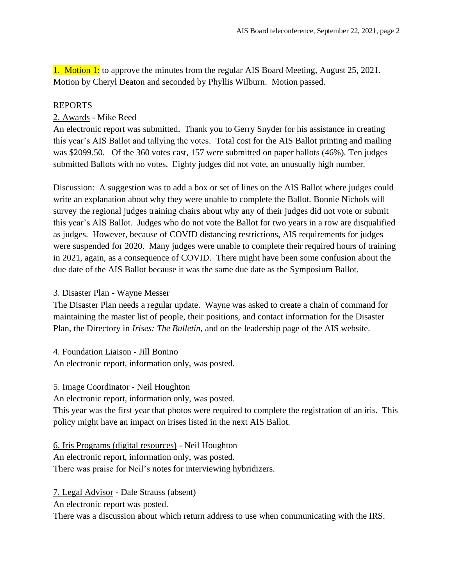1. Motion 1: to approve the minutes from the regular AIS Board Meeting, August 25, 2021. Motion by Cheryl Deaton and seconded by Phyllis Wilburn. Motion passed.

#### REPORTS

# 2. Awards - Mike Reed

An electronic report was submitted. Thank you to Gerry Snyder for his assistance in creating this year's AIS Ballot and tallying the votes. Total cost for the AIS Ballot printing and mailing was \$2099.50. Of the 360 votes cast, 157 were submitted on paper ballots (46%). Ten judges submitted Ballots with no votes. Eighty judges did not vote, an unusually high number.

Discussion: A suggestion was to add a box or set of lines on the AIS Ballot where judges could write an explanation about why they were unable to complete the Ballot. Bonnie Nichols will survey the regional judges training chairs about why any of their judges did not vote or submit this year's AIS Ballot. Judges who do not vote the Ballot for two years in a row are disqualified as judges. However, because of COVID distancing restrictions, AIS requirements for judges were suspended for 2020. Many judges were unable to complete their required hours of training in 2021, again, as a consequence of COVID. There might have been some confusion about the due date of the AIS Ballot because it was the same due date as the Symposium Ballot.

#### 3. Disaster Plan - Wayne Messer

The Disaster Plan needs a regular update. Wayne was asked to create a chain of command for maintaining the master list of people, their positions, and contact information for the Disaster Plan, the Directory in *Irises: The Bulletin*, and on the leadership page of the AIS website.

4. Foundation Liaison - Jill Bonino An electronic report, information only, was posted.

#### 5. Image Coordinator - Neil Houghton

An electronic report, information only, was posted.

This year was the first year that photos were required to complete the registration of an iris. This policy might have an impact on irises listed in the next AIS Ballot.

# 6. Iris Programs (digital resources) - Neil Houghton

An electronic report, information only, was posted.

There was praise for Neil's notes for interviewing hybridizers.

7. Legal Advisor - Dale Strauss (absent)

An electronic report was posted.

There was a discussion about which return address to use when communicating with the IRS.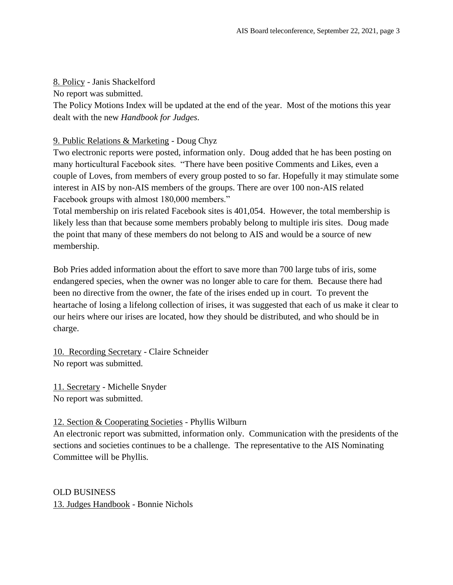#### 8. Policy - Janis Shackelford

No report was submitted.

The Policy Motions Index will be updated at the end of the year. Most of the motions this year dealt with the new *Handbook for Judges*.

# 9. Public Relations & Marketing - Doug Chyz

Two electronic reports were posted, information only. Doug added that he has been posting on many horticultural Facebook sites. "There have been positive Comments and Likes, even a couple of Loves, from members of every group posted to so far. Hopefully it may stimulate some interest in AIS by non-AIS members of the groups. There are over 100 non-AIS related Facebook groups with almost 180,000 members."

Total membership on iris related Facebook sites is 401,054. However, the total membership is likely less than that because some members probably belong to multiple iris sites. Doug made the point that many of these members do not belong to AIS and would be a source of new membership.

Bob Pries added information about the effort to save more than 700 large tubs of iris, some endangered species, when the owner was no longer able to care for them. Because there had been no directive from the owner, the fate of the irises ended up in court. To prevent the heartache of losing a lifelong collection of irises, it was suggested that each of us make it clear to our heirs where our irises are located, how they should be distributed, and who should be in charge.

10. Recording Secretary - Claire Schneider No report was submitted.

11. Secretary - Michelle Snyder No report was submitted.

# 12. Section & Cooperating Societies - Phyllis Wilburn

An electronic report was submitted, information only. Communication with the presidents of the sections and societies continues to be a challenge. The representative to the AIS Nominating Committee will be Phyllis.

OLD BUSINESS 13. Judges Handbook - Bonnie Nichols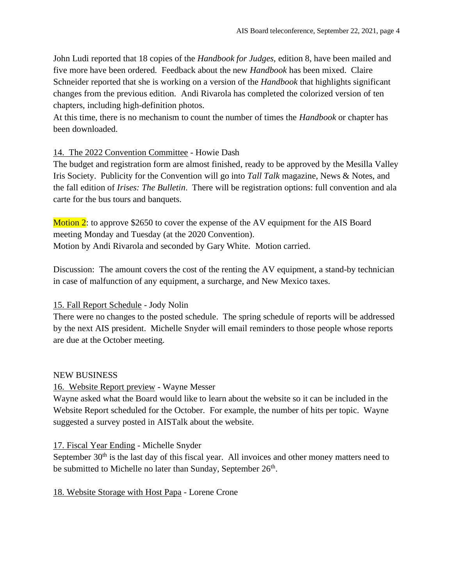John Ludi reported that 18 copies of the *Handbook for Judges,* edition 8, have been mailed and five more have been ordered. Feedback about the new *Handbook* has been mixed. Claire Schneider reported that she is working on a version of the *Handbook* that highlights significant changes from the previous edition. Andi Rivarola has completed the colorized version of ten chapters, including high-definition photos.

At this time, there is no mechanism to count the number of times the *Handbook* or chapter has been downloaded.

# 14. The 2022 Convention Committee - Howie Dash

The budget and registration form are almost finished, ready to be approved by the Mesilla Valley Iris Society. Publicity for the Convention will go into *Tall Talk* magazine, News & Notes, and the fall edition of *Irises: The Bulletin*. There will be registration options: full convention and ala carte for the bus tours and banquets.

Motion 2: to approve \$2650 to cover the expense of the AV equipment for the AIS Board meeting Monday and Tuesday (at the 2020 Convention). Motion by Andi Rivarola and seconded by Gary White. Motion carried.

Discussion: The amount covers the cost of the renting the AV equipment, a stand-by technician in case of malfunction of any equipment, a surcharge, and New Mexico taxes.

# 15. Fall Report Schedule - Jody Nolin

There were no changes to the posted schedule. The spring schedule of reports will be addressed by the next AIS president. Michelle Snyder will email reminders to those people whose reports are due at the October meeting.

# NEW BUSINESS

# 16. Website Report preview - Wayne Messer

Wayne asked what the Board would like to learn about the website so it can be included in the Website Report scheduled for the October. For example, the number of hits per topic. Wayne suggested a survey posted in AISTalk about the website.

# 17. Fiscal Year Ending - Michelle Snyder

September  $30<sup>th</sup>$  is the last day of this fiscal year. All invoices and other money matters need to be submitted to Michelle no later than Sunday, September  $26<sup>th</sup>$ .

18. Website Storage with Host Papa - Lorene Crone